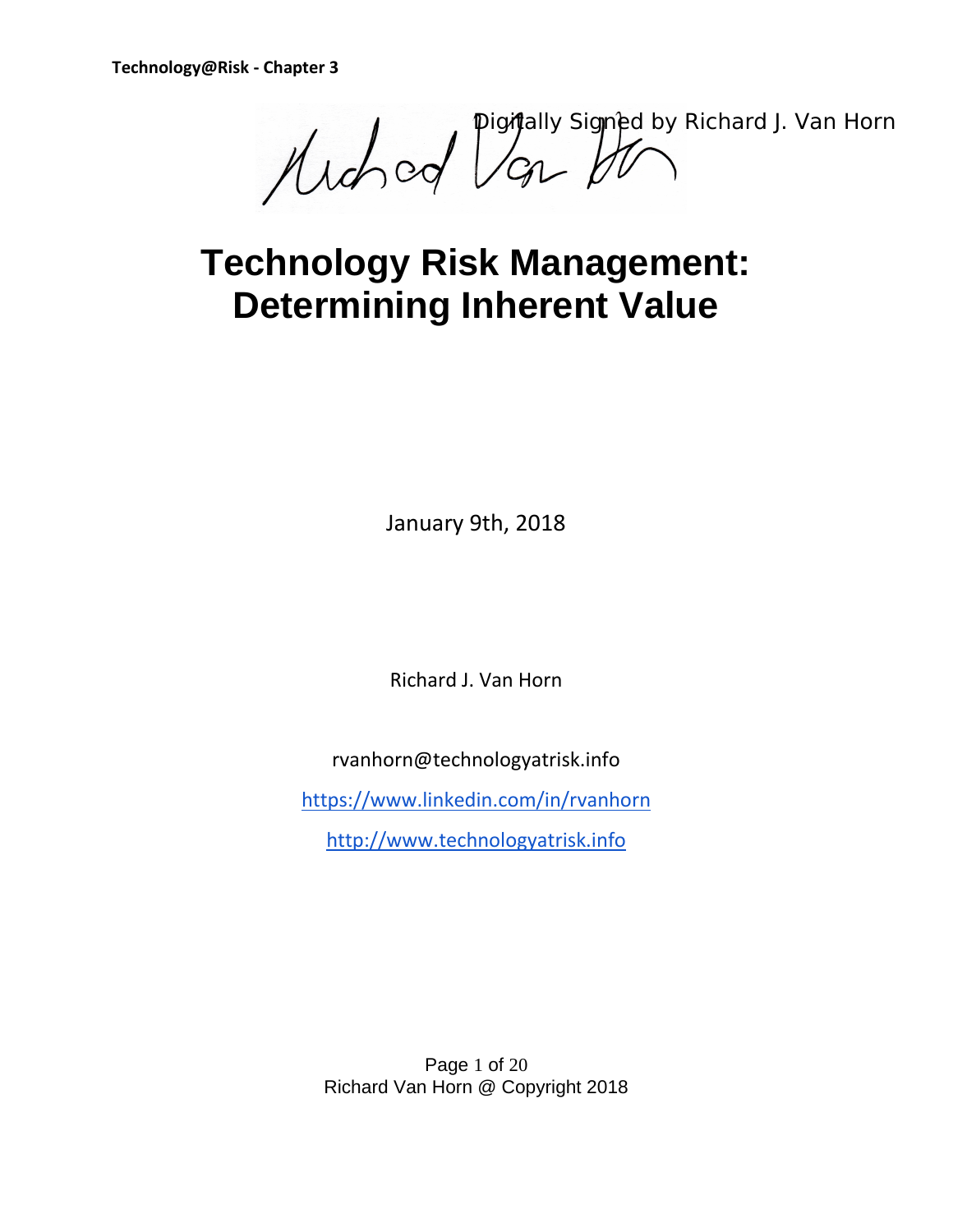Much od Digitally Signed by Richard J. Van Horn

# **Technology Risk Management: Determining Inherent Value**

January 9th, 2018

Richard J. Van Horn

rvanhorn@technologyatrisk.info

<https://www.linkedin.com/in/rvanhorn>

[http://www.technologyatrisk.info](http://www.technologyatrisk.info/)

Page 1 of 20 Richard Van Horn @ Copyright 2018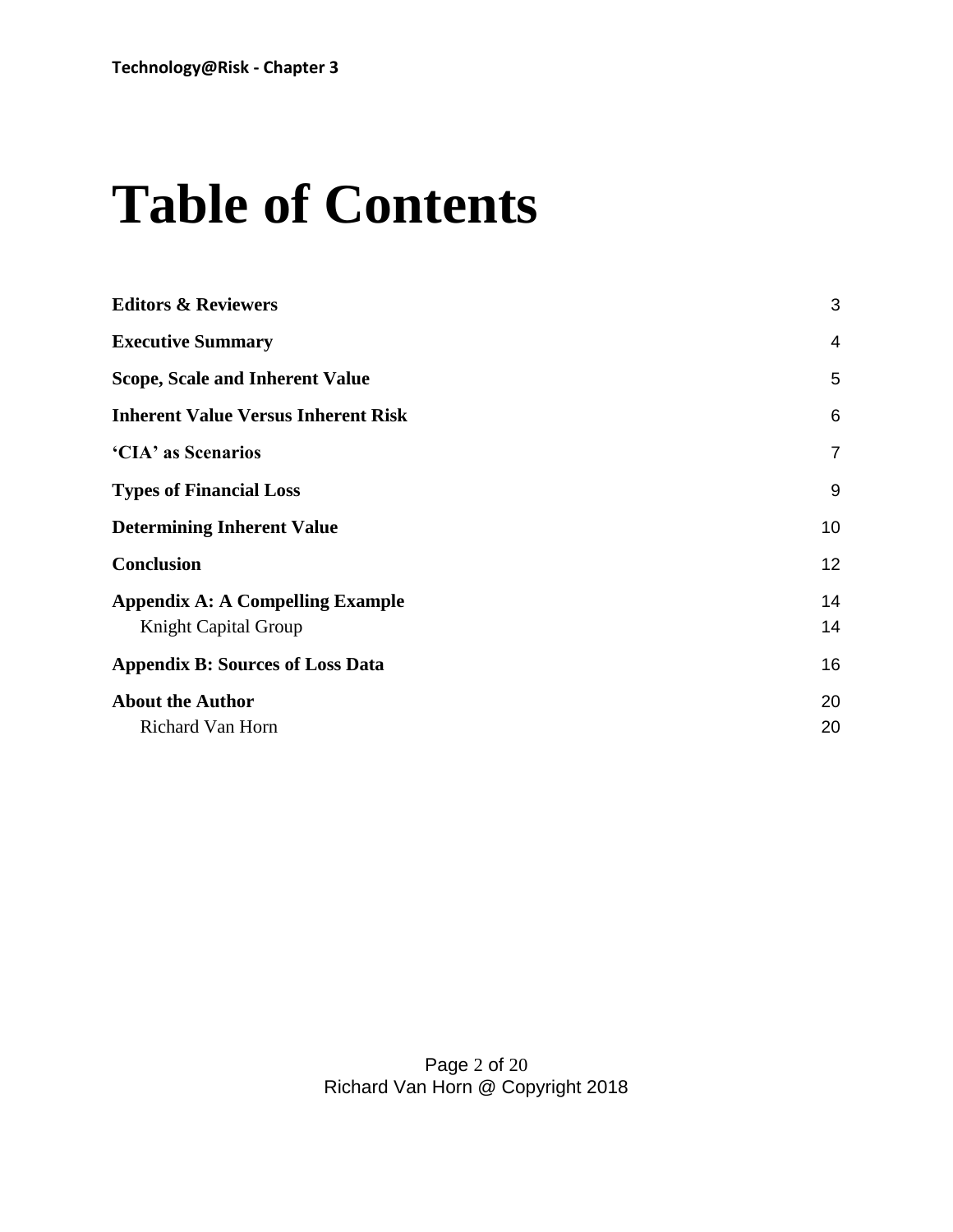# **Table of Contents**

| <b>Editors &amp; Reviewers</b>                                         | 3              |
|------------------------------------------------------------------------|----------------|
| <b>Executive Summary</b>                                               | 4              |
| <b>Scope, Scale and Inherent Value</b>                                 | 5              |
| <b>Inherent Value Versus Inherent Risk</b>                             | 6              |
| 'CIA' as Scenarios                                                     | $\overline{7}$ |
| <b>Types of Financial Loss</b>                                         | 9              |
| <b>Determining Inherent Value</b>                                      | 10             |
| <b>Conclusion</b>                                                      | 12             |
| <b>Appendix A: A Compelling Example</b><br><b>Knight Capital Group</b> | 14<br>14       |
| <b>Appendix B: Sources of Loss Data</b>                                | 16             |
| <b>About the Author</b>                                                | 20             |
| Richard Van Horn                                                       | 20             |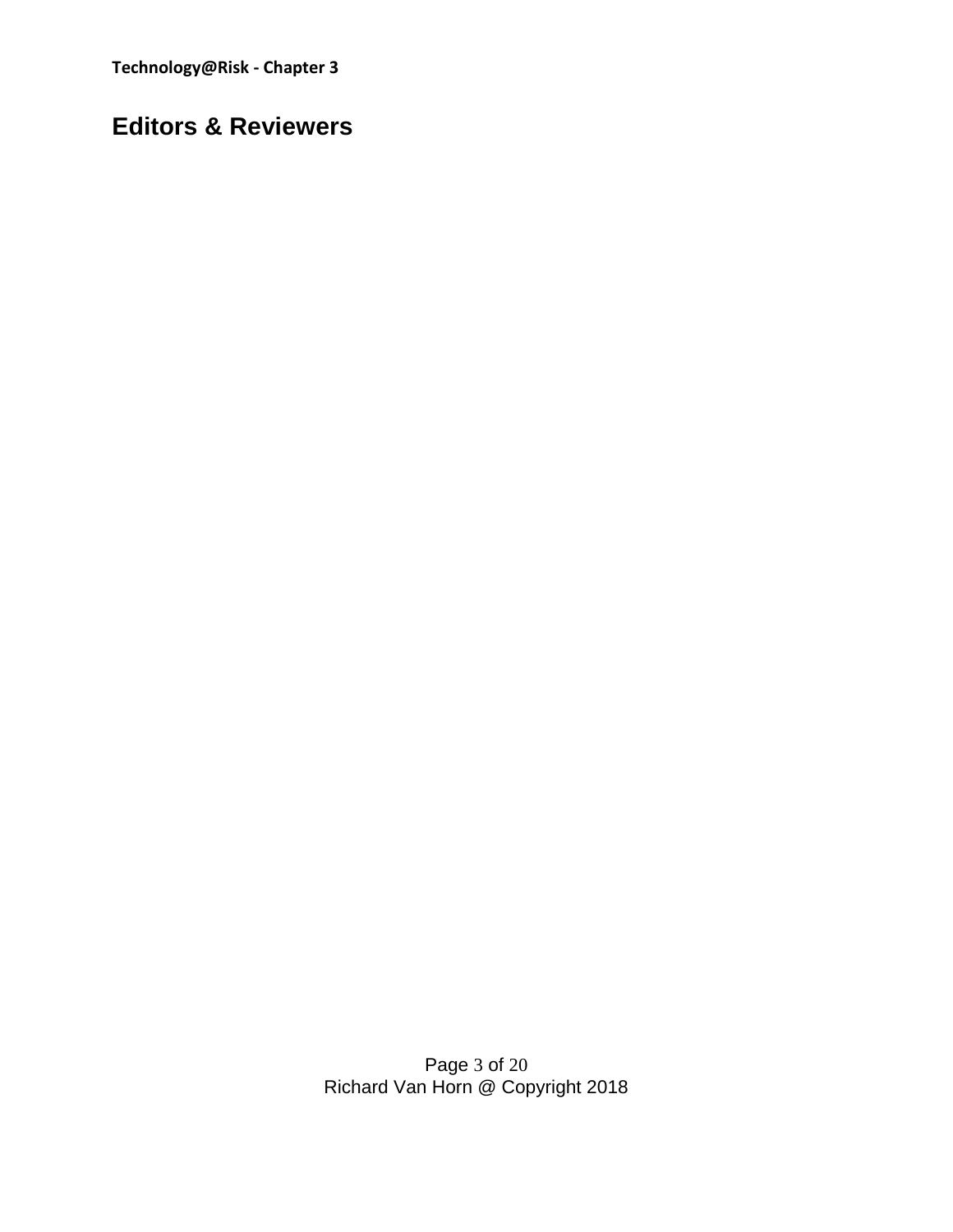### <span id="page-2-0"></span>**Editors & Reviewers**

Page 3 of 20 Richard Van Horn @ Copyright 2018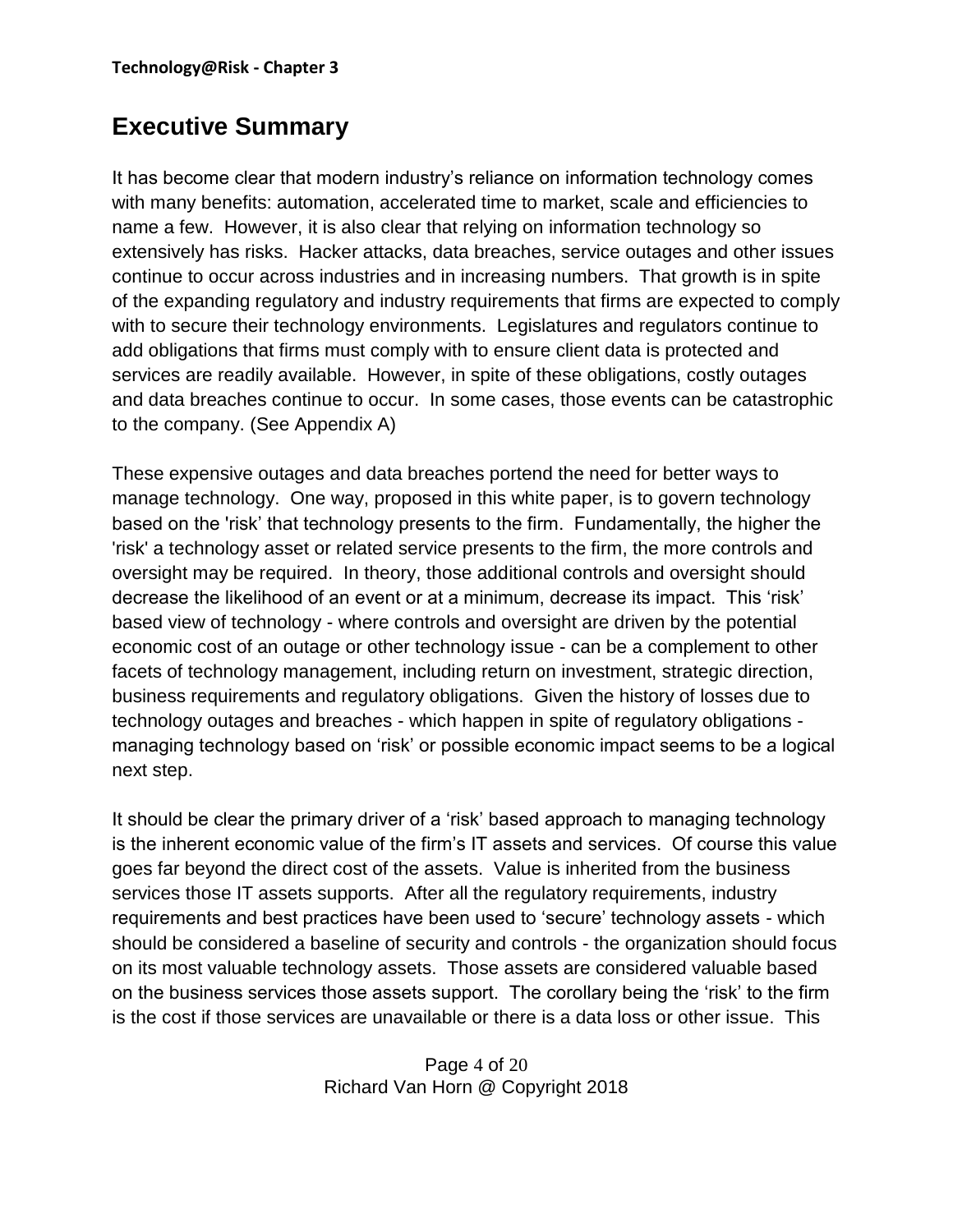### <span id="page-3-0"></span>**Executive Summary**

It has become clear that modern industry's reliance on information technology comes with many benefits: automation, accelerated time to market, scale and efficiencies to name a few. However, it is also clear that relying on information technology so extensively has risks. Hacker attacks, data breaches, service outages and other issues continue to occur across industries and in increasing numbers. That growth is in spite of the expanding regulatory and industry requirements that firms are expected to comply with to secure their technology environments. Legislatures and regulators continue to add obligations that firms must comply with to ensure client data is protected and services are readily available. However, in spite of these obligations, costly outages and data breaches continue to occur. In some cases, those events can be catastrophic to the company. (See Appendix A)

These expensive outages and data breaches portend the need for better ways to manage technology. One way, proposed in this white paper, is to govern technology based on the 'risk' that technology presents to the firm. Fundamentally, the higher the 'risk' a technology asset or related service presents to the firm, the more controls and oversight may be required. In theory, those additional controls and oversight should decrease the likelihood of an event or at a minimum, decrease its impact. This 'risk' based view of technology - where controls and oversight are driven by the potential economic cost of an outage or other technology issue - can be a complement to other facets of technology management, including return on investment, strategic direction, business requirements and regulatory obligations. Given the history of losses due to technology outages and breaches - which happen in spite of regulatory obligations managing technology based on 'risk' or possible economic impact seems to be a logical next step.

It should be clear the primary driver of a 'risk' based approach to managing technology is the inherent economic value of the firm's IT assets and services. Of course this value goes far beyond the direct cost of the assets. Value is inherited from the business services those IT assets supports. After all the regulatory requirements, industry requirements and best practices have been used to 'secure' technology assets - which should be considered a baseline of security and controls - the organization should focus on its most valuable technology assets. Those assets are considered valuable based on the business services those assets support. The corollary being the 'risk' to the firm is the cost if those services are unavailable or there is a data loss or other issue. This

#### Page 4 of 20 Richard Van Horn @ Copyright 2018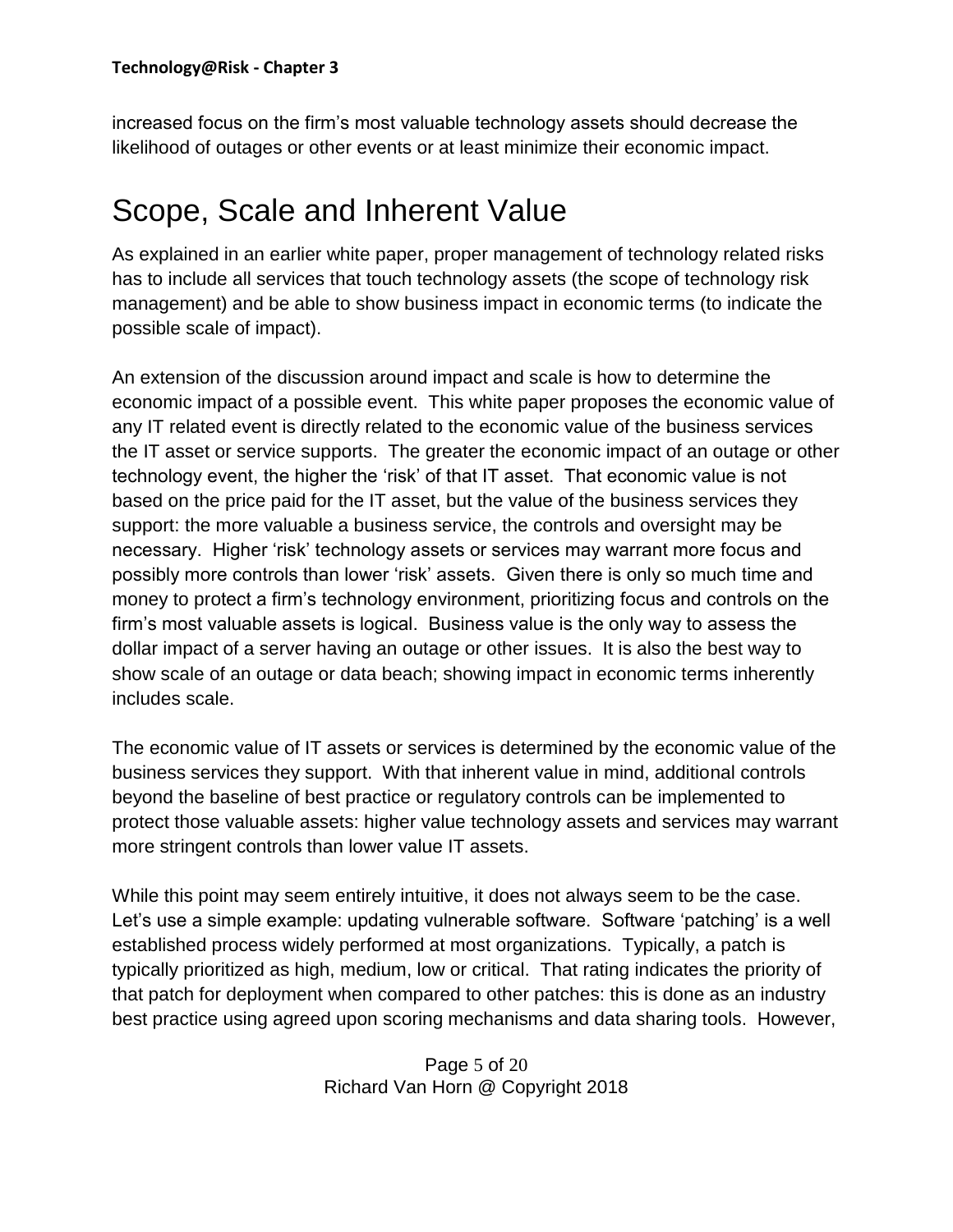increased focus on the firm's most valuable technology assets should decrease the likelihood of outages or other events or at least minimize their economic impact.

# <span id="page-4-0"></span>Scope, Scale and Inherent Value

As explained in an earlier white paper, proper management of technology related risks has to include all services that touch technology assets (the scope of technology risk management) and be able to show business impact in economic terms (to indicate the possible scale of impact).

An extension of the discussion around impact and scale is how to determine the economic impact of a possible event. This white paper proposes the economic value of any IT related event is directly related to the economic value of the business services the IT asset or service supports. The greater the economic impact of an outage or other technology event, the higher the 'risk' of that IT asset. That economic value is not based on the price paid for the IT asset, but the value of the business services they support: the more valuable a business service, the controls and oversight may be necessary. Higher 'risk' technology assets or services may warrant more focus and possibly more controls than lower 'risk' assets. Given there is only so much time and money to protect a firm's technology environment, prioritizing focus and controls on the firm's most valuable assets is logical. Business value is the only way to assess the dollar impact of a server having an outage or other issues. It is also the best way to show scale of an outage or data beach; showing impact in economic terms inherently includes scale.

The economic value of IT assets or services is determined by the economic value of the business services they support. With that inherent value in mind, additional controls beyond the baseline of best practice or regulatory controls can be implemented to protect those valuable assets: higher value technology assets and services may warrant more stringent controls than lower value IT assets.

While this point may seem entirely intuitive, it does not always seem to be the case. Let's use a simple example: updating vulnerable software. Software 'patching' is a well established process widely performed at most organizations. Typically, a patch is typically prioritized as high, medium, low or critical. That rating indicates the priority of that patch for deployment when compared to other patches: this is done as an industry best practice using agreed upon scoring mechanisms and data sharing tools. However,

#### Page 5 of 20 Richard Van Horn @ Copyright 2018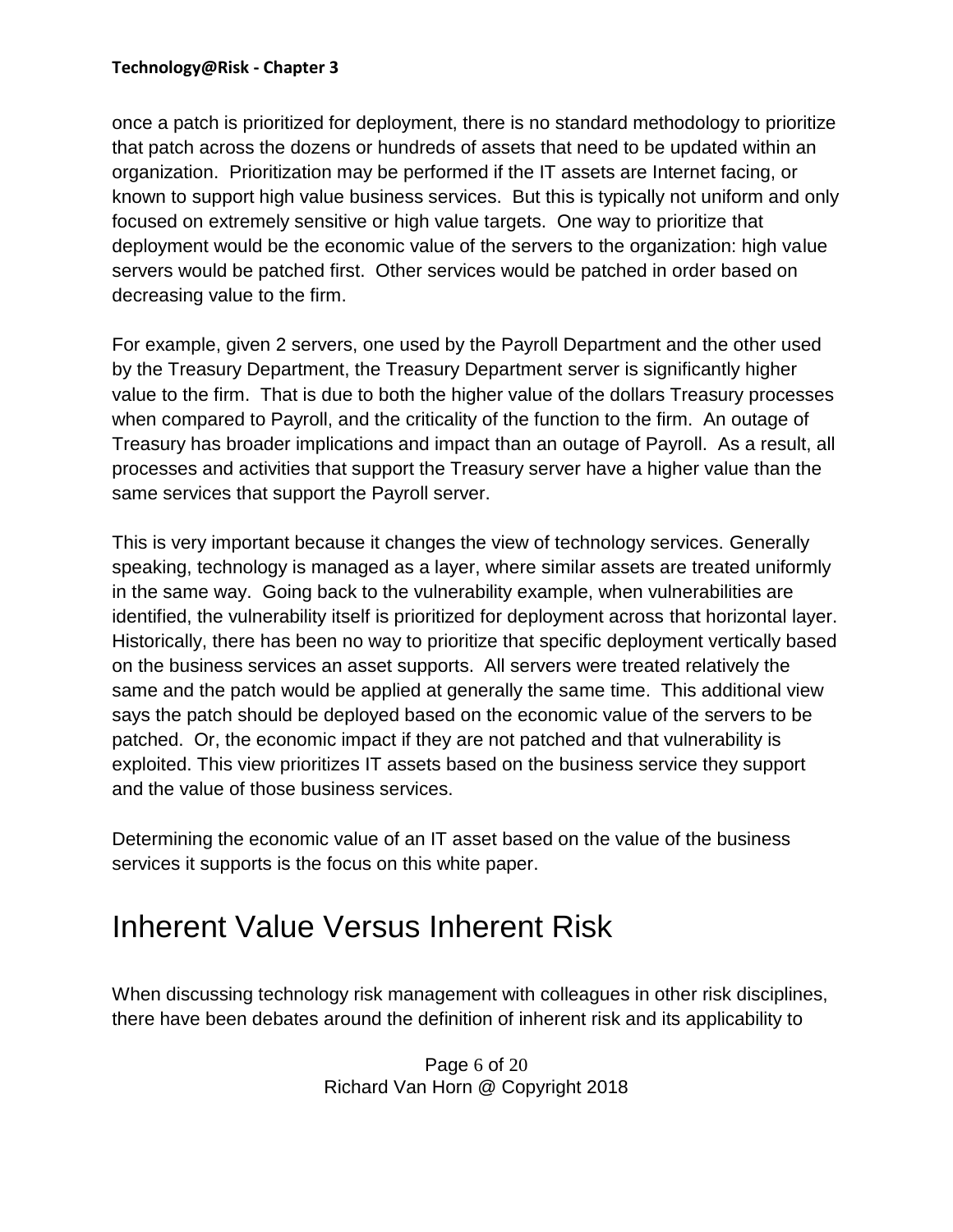once a patch is prioritized for deployment, there is no standard methodology to prioritize that patch across the dozens or hundreds of assets that need to be updated within an organization. Prioritization may be performed if the IT assets are Internet facing, or known to support high value business services. But this is typically not uniform and only focused on extremely sensitive or high value targets. One way to prioritize that deployment would be the economic value of the servers to the organization: high value servers would be patched first. Other services would be patched in order based on decreasing value to the firm.

For example, given 2 servers, one used by the Payroll Department and the other used by the Treasury Department, the Treasury Department server is significantly higher value to the firm. That is due to both the higher value of the dollars Treasury processes when compared to Payroll, and the criticality of the function to the firm. An outage of Treasury has broader implications and impact than an outage of Payroll. As a result, all processes and activities that support the Treasury server have a higher value than the same services that support the Payroll server.

This is very important because it changes the view of technology services. Generally speaking, technology is managed as a layer, where similar assets are treated uniformly in the same way. Going back to the vulnerability example, when vulnerabilities are identified, the vulnerability itself is prioritized for deployment across that horizontal layer. Historically, there has been no way to prioritize that specific deployment vertically based on the business services an asset supports. All servers were treated relatively the same and the patch would be applied at generally the same time. This additional view says the patch should be deployed based on the economic value of the servers to be patched. Or, the economic impact if they are not patched and that vulnerability is exploited. This view prioritizes IT assets based on the business service they support and the value of those business services.

Determining the economic value of an IT asset based on the value of the business services it supports is the focus on this white paper.

# <span id="page-5-0"></span>Inherent Value Versus Inherent Risk

When discussing technology risk management with colleagues in other risk disciplines, there have been debates around the definition of inherent risk and its applicability to

#### Page 6 of 20 Richard Van Horn @ Copyright 2018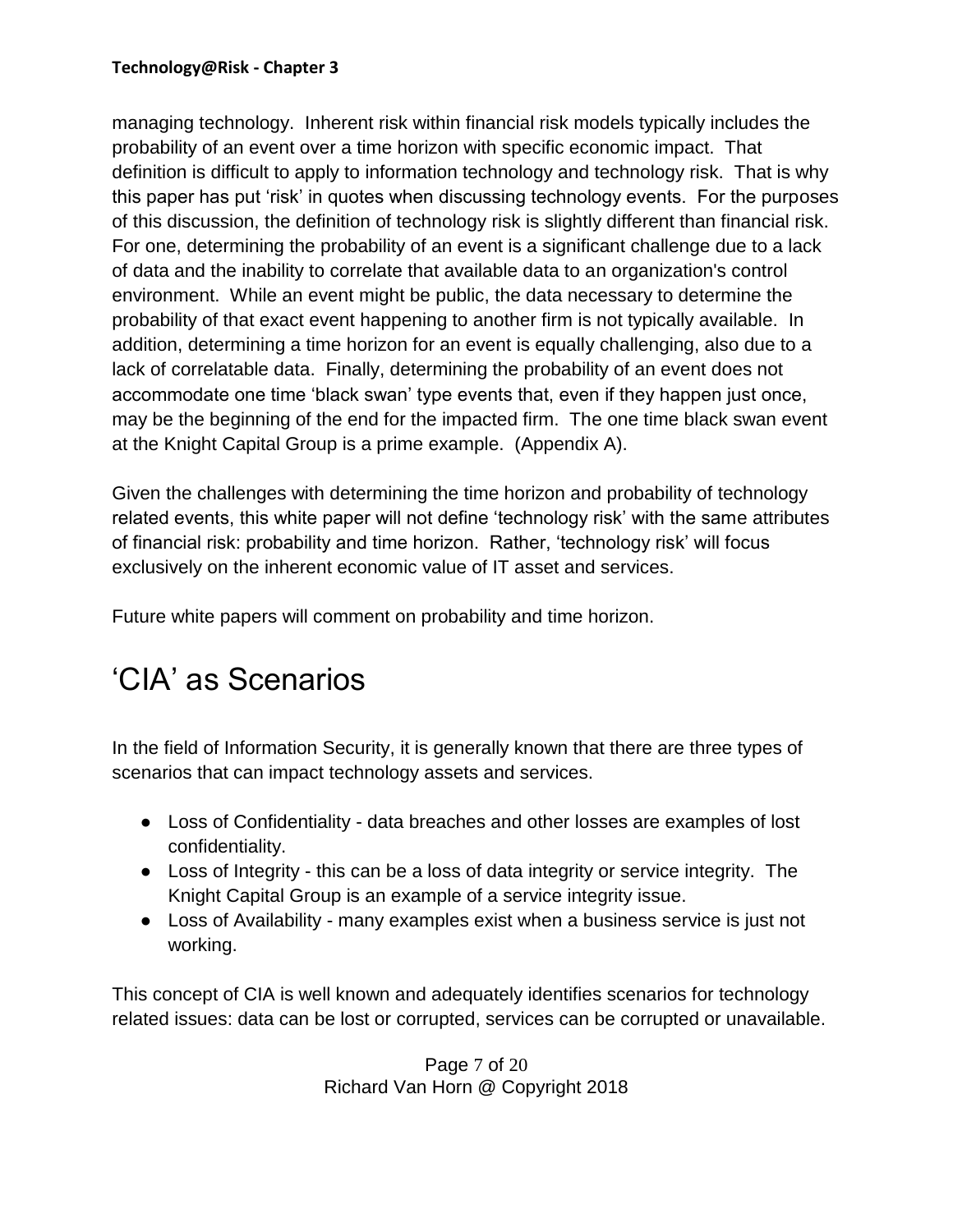managing technology. Inherent risk within financial risk models typically includes the probability of an event over a time horizon with specific economic impact. That definition is difficult to apply to information technology and technology risk. That is why this paper has put 'risk' in quotes when discussing technology events. For the purposes of this discussion, the definition of technology risk is slightly different than financial risk. For one, determining the probability of an event is a significant challenge due to a lack of data and the inability to correlate that available data to an organization's control environment. While an event might be public, the data necessary to determine the probability of that exact event happening to another firm is not typically available. In addition, determining a time horizon for an event is equally challenging, also due to a lack of correlatable data. Finally, determining the probability of an event does not accommodate one time 'black swan' type events that, even if they happen just once, may be the beginning of the end for the impacted firm. The one time black swan event at the Knight Capital Group is a prime example. (Appendix A).

Given the challenges with determining the time horizon and probability of technology related events, this white paper will not define 'technology risk' with the same attributes of financial risk: probability and time horizon. Rather, 'technology risk' will focus exclusively on the inherent economic value of IT asset and services.

<span id="page-6-0"></span>Future white papers will comment on probability and time horizon.

# 'CIA' as Scenarios

In the field of Information Security, it is generally known that there are three types of scenarios that can impact technology assets and services.

- Loss of Confidentiality data breaches and other losses are examples of lost confidentiality.
- Loss of Integrity this can be a loss of data integrity or service integrity. The Knight Capital Group is an example of a service integrity issue.
- Loss of Availability many examples exist when a business service is just not working.

This concept of CIA is well known and adequately identifies scenarios for technology related issues: data can be lost or corrupted, services can be corrupted or unavailable.

> Page 7 of 20 Richard Van Horn @ Copyright 2018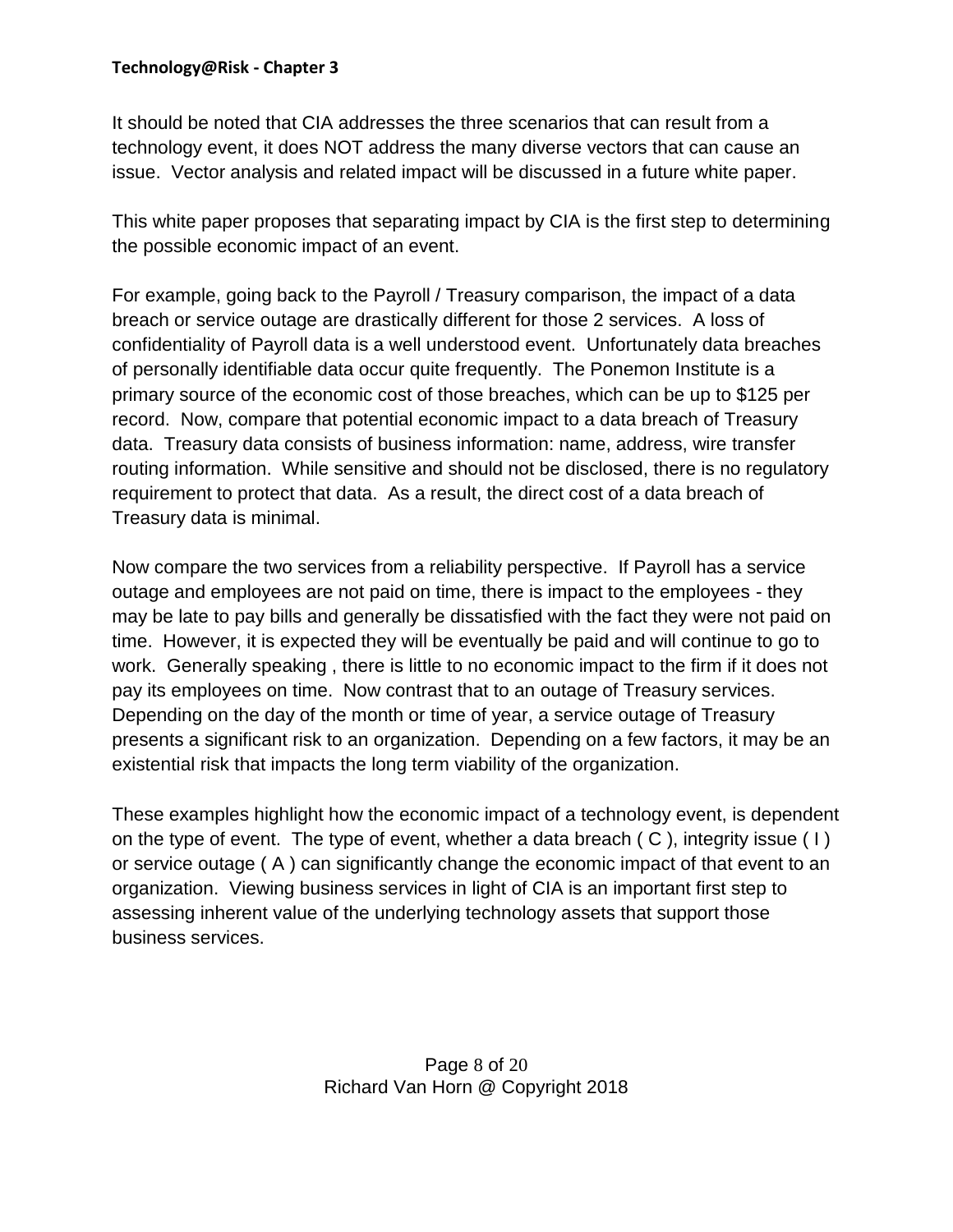It should be noted that CIA addresses the three scenarios that can result from a technology event, it does NOT address the many diverse vectors that can cause an issue. Vector analysis and related impact will be discussed in a future white paper.

This white paper proposes that separating impact by CIA is the first step to determining the possible economic impact of an event.

For example, going back to the Payroll / Treasury comparison, the impact of a data breach or service outage are drastically different for those 2 services. A loss of confidentiality of Payroll data is a well understood event. Unfortunately data breaches of personally identifiable data occur quite frequently. The Ponemon Institute is a primary source of the economic cost of those breaches, which can be up to \$125 per record. Now, compare that potential economic impact to a data breach of Treasury data. Treasury data consists of business information: name, address, wire transfer routing information. While sensitive and should not be disclosed, there is no regulatory requirement to protect that data. As a result, the direct cost of a data breach of Treasury data is minimal.

Now compare the two services from a reliability perspective. If Payroll has a service outage and employees are not paid on time, there is impact to the employees - they may be late to pay bills and generally be dissatisfied with the fact they were not paid on time. However, it is expected they will be eventually be paid and will continue to go to work. Generally speaking , there is little to no economic impact to the firm if it does not pay its employees on time. Now contrast that to an outage of Treasury services. Depending on the day of the month or time of year, a service outage of Treasury presents a significant risk to an organization. Depending on a few factors, it may be an existential risk that impacts the long term viability of the organization.

These examples highlight how the economic impact of a technology event, is dependent on the type of event. The type of event, whether a data breach ( C ), integrity issue ( I ) or service outage ( A ) can significantly change the economic impact of that event to an organization. Viewing business services in light of CIA is an important first step to assessing inherent value of the underlying technology assets that support those business services.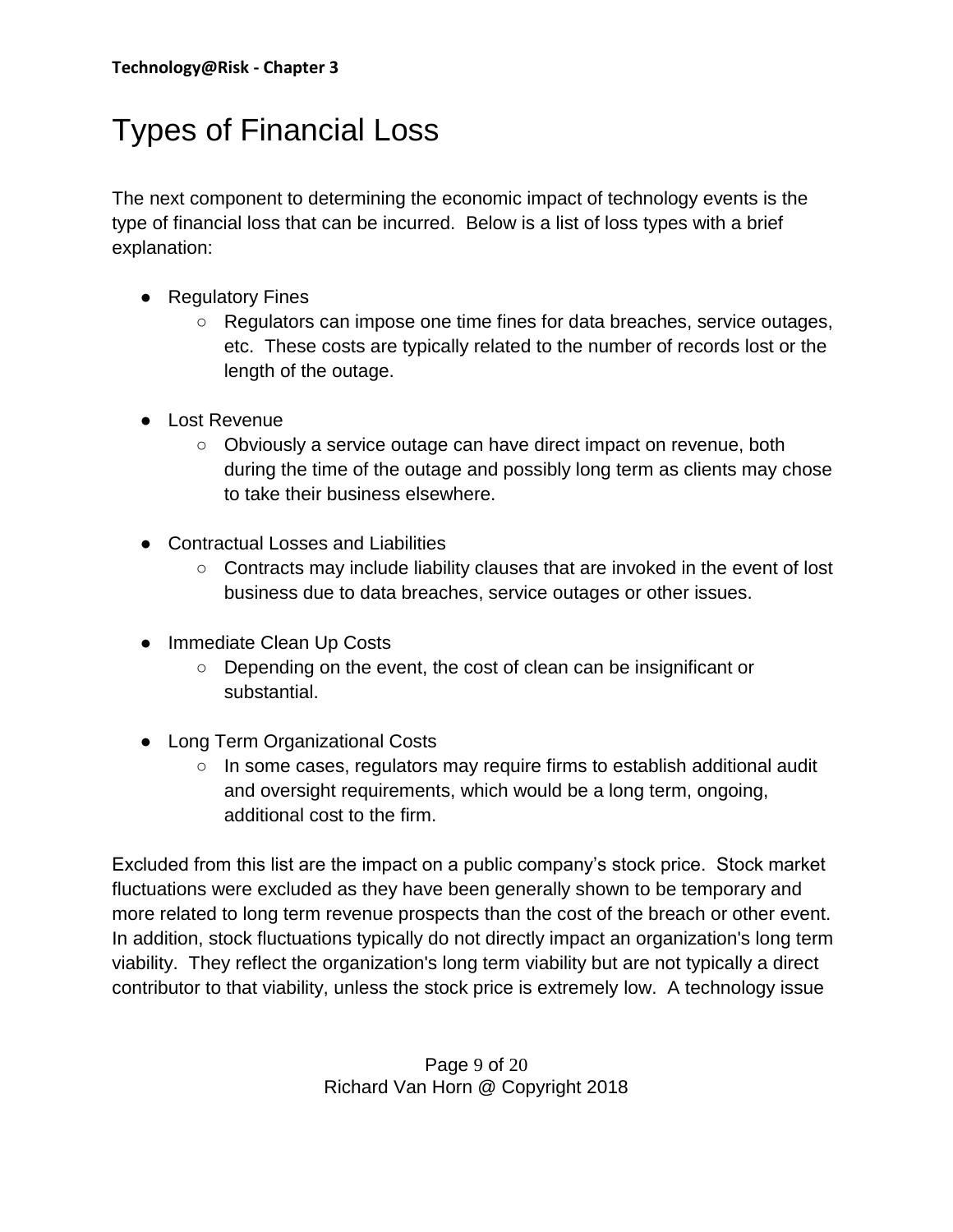# <span id="page-8-0"></span>Types of Financial Loss

The next component to determining the economic impact of technology events is the type of financial loss that can be incurred. Below is a list of loss types with a brief explanation:

- Regulatory Fines
	- Regulators can impose one time fines for data breaches, service outages, etc. These costs are typically related to the number of records lost or the length of the outage.
- Lost Revenue
	- Obviously a service outage can have direct impact on revenue, both during the time of the outage and possibly long term as clients may chose to take their business elsewhere.
- Contractual Losses and Liabilities
	- Contracts may include liability clauses that are invoked in the event of lost business due to data breaches, service outages or other issues.
- Immediate Clean Up Costs
	- Depending on the event, the cost of clean can be insignificant or substantial.
- Long Term Organizational Costs
	- $\circ$  In some cases, regulators may require firms to establish additional audit and oversight requirements, which would be a long term, ongoing, additional cost to the firm.

Excluded from this list are the impact on a public company's stock price. Stock market fluctuations were excluded as they have been generally shown to be temporary and more related to long term revenue prospects than the cost of the breach or other event. In addition, stock fluctuations typically do not directly impact an organization's long term viability. They reflect the organization's long term viability but are not typically a direct contributor to that viability, unless the stock price is extremely low. A technology issue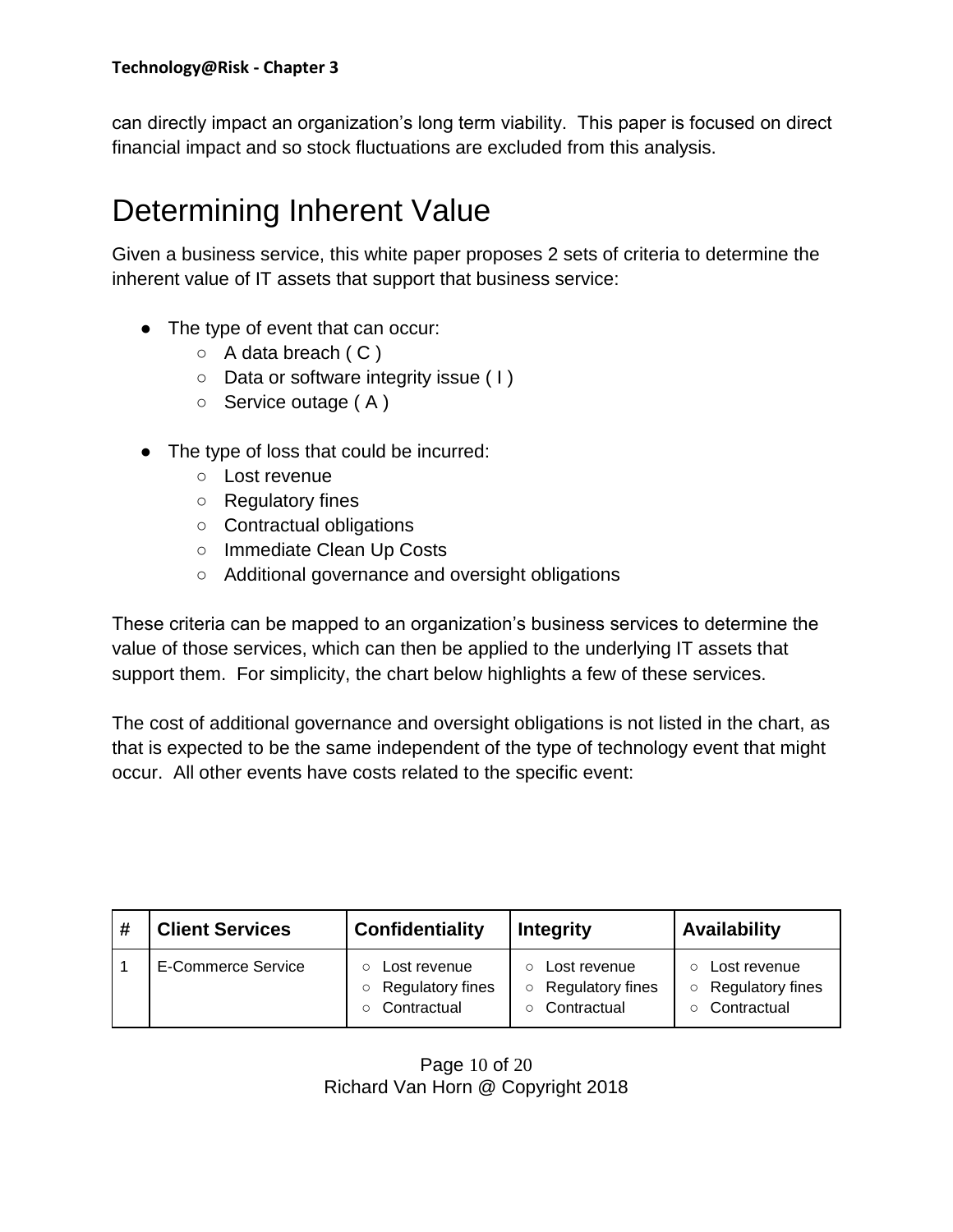can directly impact an organization's long term viability. This paper is focused on direct financial impact and so stock fluctuations are excluded from this analysis.

# <span id="page-9-0"></span>Determining Inherent Value

Given a business service, this white paper proposes 2 sets of criteria to determine the inherent value of IT assets that support that business service:

- The type of event that can occur:
	- $\circ$  A data breach (C)
	- Data or software integrity issue ( I )
	- Service outage (A)
- The type of loss that could be incurred:
	- Lost revenue
	- Regulatory fines
	- Contractual obligations
	- Immediate Clean Up Costs
	- Additional governance and oversight obligations

These criteria can be mapped to an organization's business services to determine the value of those services, which can then be applied to the underlying IT assets that support them. For simplicity, the chart below highlights a few of these services.

The cost of additional governance and oversight obligations is not listed in the chart, as that is expected to be the same independent of the type of technology event that might occur. All other events have costs related to the specific event:

| <b>Client Services</b> | Confidentiality                                                   | Integrity                                               | <b>Availability</b>                               |
|------------------------|-------------------------------------------------------------------|---------------------------------------------------------|---------------------------------------------------|
| E-Commerce Service     | Lost revenue<br><b>Regulatory fines</b><br>$\circ$<br>Contractual | Lost revenue<br>$\circ$ Regulatory fines<br>Contractual | Lost revenue<br>○ Regulatory fines<br>Contractual |

Page 10 of 20 Richard Van Horn @ Copyright 2018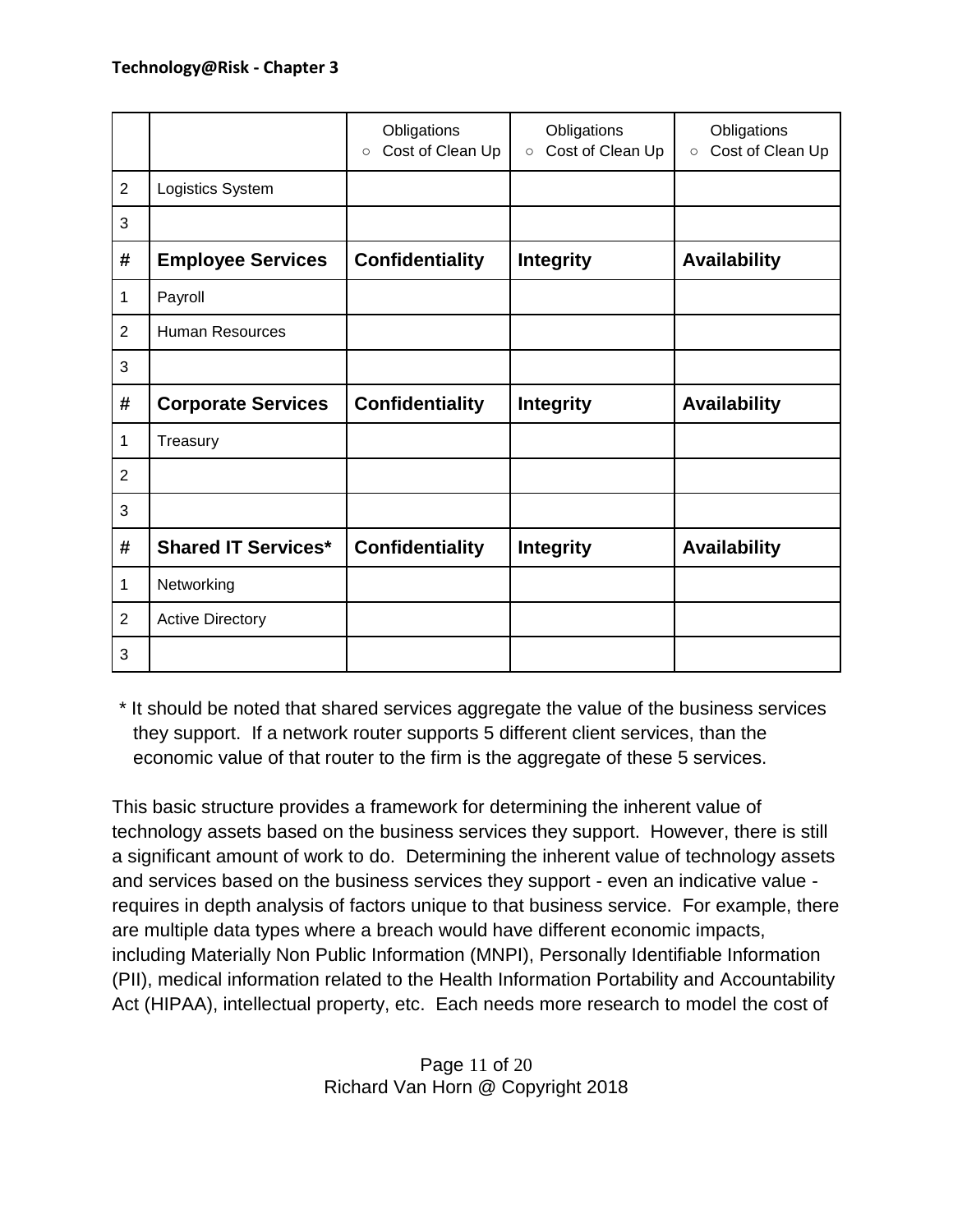|                |                            | Obligations<br>Cost of Clean Up<br>$\circ$ | Obligations<br>Cost of Clean Up<br>$\circ$ | Obligations<br>Cost of Clean Up<br>$\circ$ |
|----------------|----------------------------|--------------------------------------------|--------------------------------------------|--------------------------------------------|
| $\overline{2}$ | Logistics System           |                                            |                                            |                                            |
| 3              |                            |                                            |                                            |                                            |
| #              | <b>Employee Services</b>   | <b>Confidentiality</b>                     | <b>Integrity</b>                           | <b>Availability</b>                        |
| 1              | Payroll                    |                                            |                                            |                                            |
| $\overline{2}$ | <b>Human Resources</b>     |                                            |                                            |                                            |
| 3              |                            |                                            |                                            |                                            |
| #              | <b>Corporate Services</b>  | <b>Confidentiality</b>                     | <b>Integrity</b>                           | <b>Availability</b>                        |
| 1              | Treasury                   |                                            |                                            |                                            |
| $\overline{2}$ |                            |                                            |                                            |                                            |
| 3              |                            |                                            |                                            |                                            |
| #              | <b>Shared IT Services*</b> | <b>Confidentiality</b>                     | <b>Integrity</b>                           | <b>Availability</b>                        |
| 1              | Networking                 |                                            |                                            |                                            |
| $\overline{2}$ | <b>Active Directory</b>    |                                            |                                            |                                            |
| 3              |                            |                                            |                                            |                                            |

\* It should be noted that shared services aggregate the value of the business services they support. If a network router supports 5 different client services, than the economic value of that router to the firm is the aggregate of these 5 services.

This basic structure provides a framework for determining the inherent value of technology assets based on the business services they support. However, there is still a significant amount of work to do. Determining the inherent value of technology assets and services based on the business services they support - even an indicative value requires in depth analysis of factors unique to that business service. For example, there are multiple data types where a breach would have different economic impacts, including Materially Non Public Information (MNPI), Personally Identifiable Information (PII), medical information related to the Health Information Portability and Accountability Act (HIPAA), intellectual property, etc. Each needs more research to model the cost of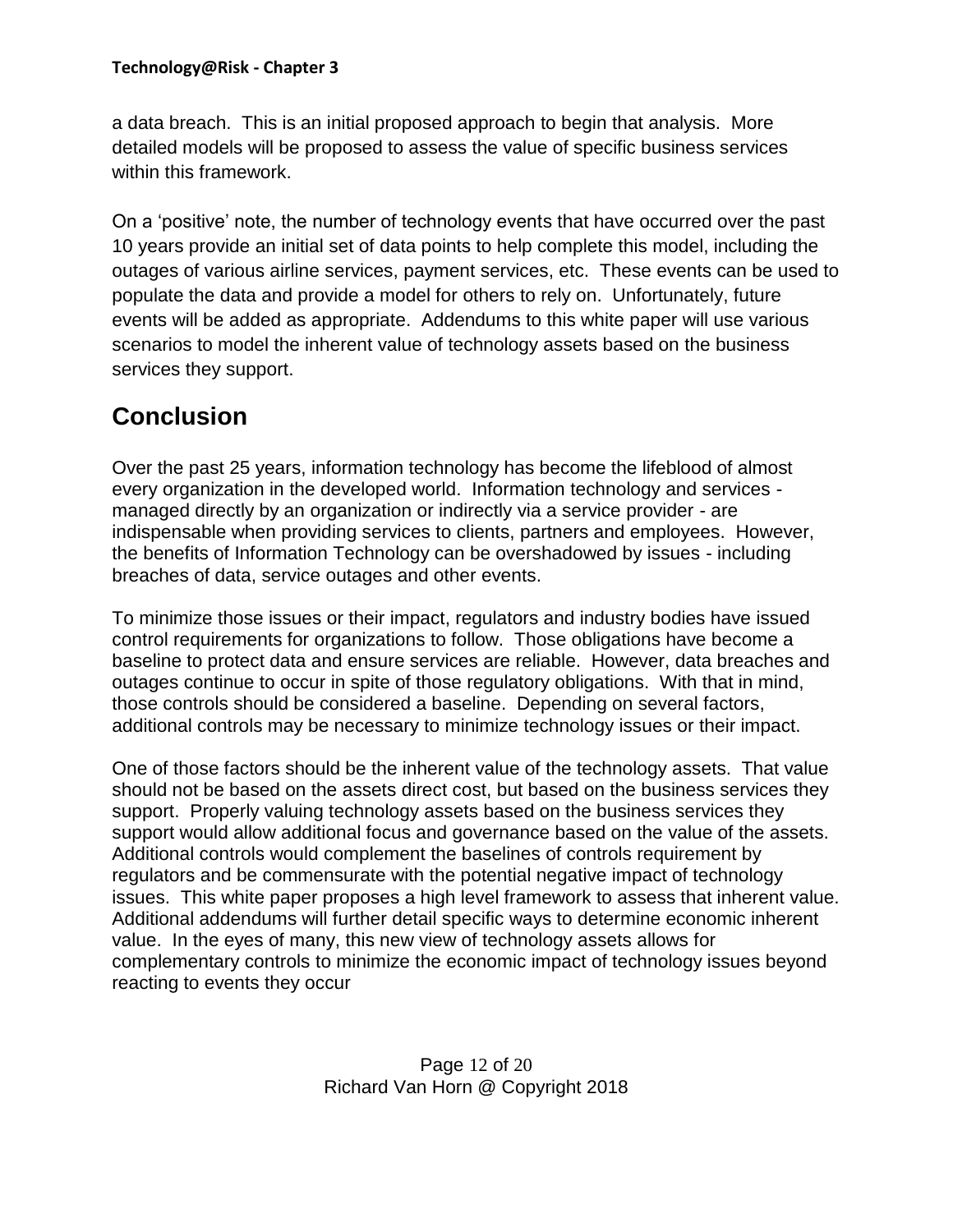a data breach. This is an initial proposed approach to begin that analysis. More detailed models will be proposed to assess the value of specific business services within this framework.

On a 'positive' note, the number of technology events that have occurred over the past 10 years provide an initial set of data points to help complete this model, including the outages of various airline services, payment services, etc. These events can be used to populate the data and provide a model for others to rely on. Unfortunately, future events will be added as appropriate. Addendums to this white paper will use various scenarios to model the inherent value of technology assets based on the business services they support.

### <span id="page-11-0"></span>**Conclusion**

Over the past 25 years, information technology has become the lifeblood of almost every organization in the developed world. Information technology and services managed directly by an organization or indirectly via a service provider - are indispensable when providing services to clients, partners and employees. However, the benefits of Information Technology can be overshadowed by issues - including breaches of data, service outages and other events.

To minimize those issues or their impact, regulators and industry bodies have issued control requirements for organizations to follow. Those obligations have become a baseline to protect data and ensure services are reliable. However, data breaches and outages continue to occur in spite of those regulatory obligations. With that in mind, those controls should be considered a baseline. Depending on several factors, additional controls may be necessary to minimize technology issues or their impact.

One of those factors should be the inherent value of the technology assets. That value should not be based on the assets direct cost, but based on the business services they support. Properly valuing technology assets based on the business services they support would allow additional focus and governance based on the value of the assets. Additional controls would complement the baselines of controls requirement by regulators and be commensurate with the potential negative impact of technology issues. This white paper proposes a high level framework to assess that inherent value. Additional addendums will further detail specific ways to determine economic inherent value. In the eyes of many, this new view of technology assets allows for complementary controls to minimize the economic impact of technology issues beyond reacting to events they occur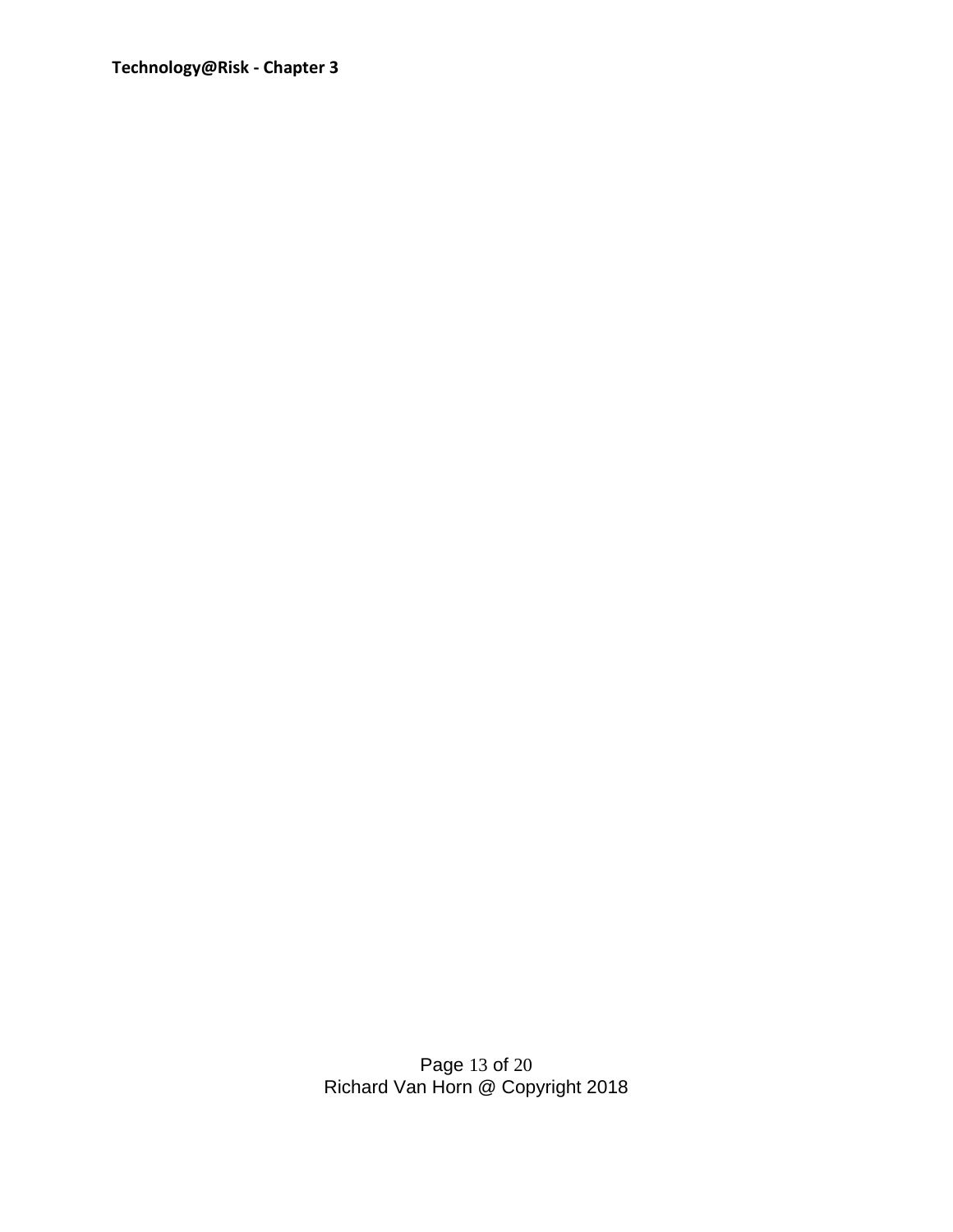Page 13 of 20 Richard Van Horn @ Copyright 2018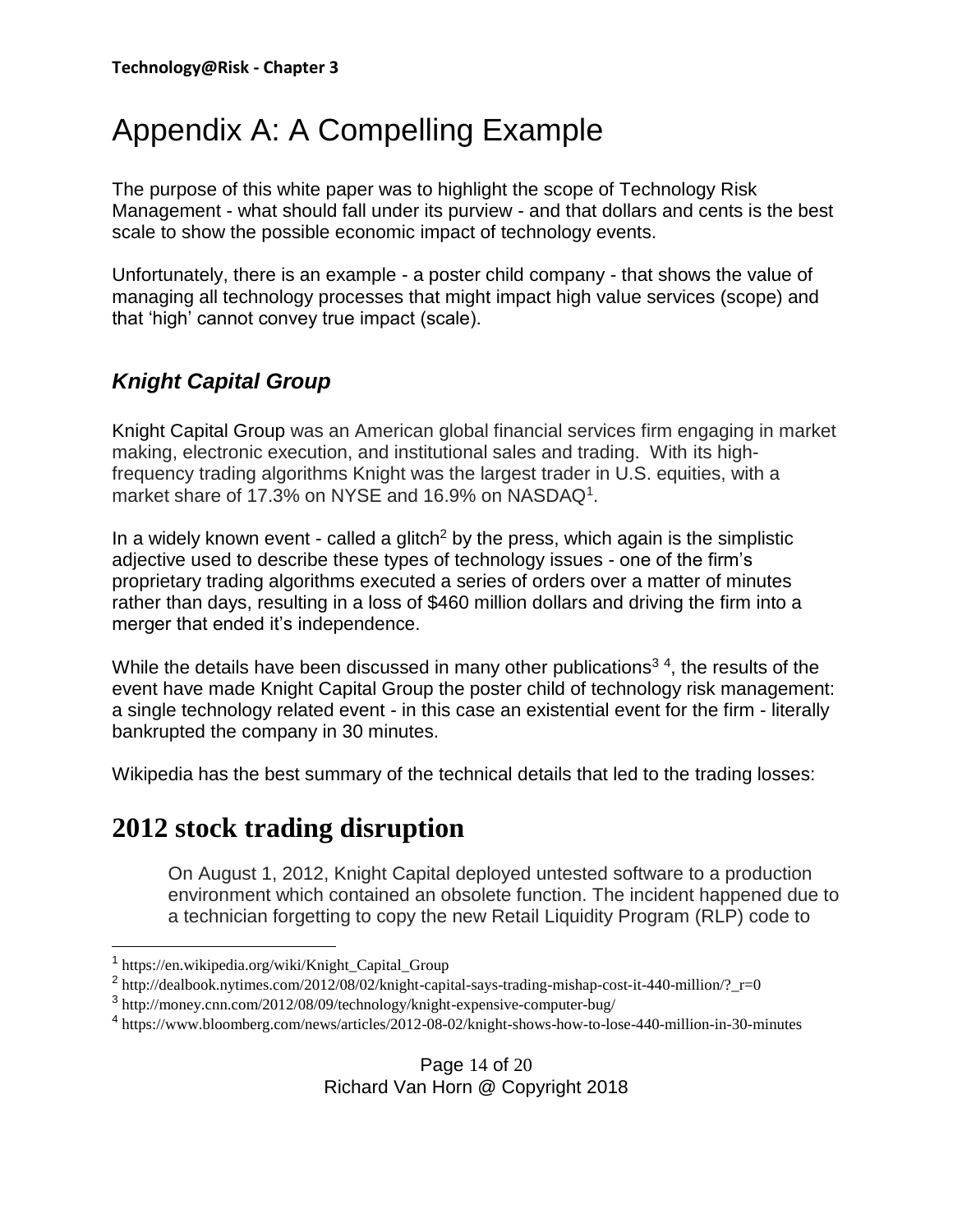# <span id="page-13-0"></span>Appendix A: A Compelling Example

The purpose of this white paper was to highlight the scope of Technology Risk Management - what should fall under its purview - and that dollars and cents is the best scale to show the possible economic impact of technology events.

Unfortunately, there is an example - a poster child company - that shows the value of managing all technology processes that might impact high value services (scope) and that 'high' cannot convey true impact (scale).

### <span id="page-13-1"></span>*Knight Capital Group*

Knight Capital Group was an American global financial services firm engaging in market making, electronic execution, and institutional sales and trading. With its highfrequency trading algorithms Knight was the largest trader in U.S. equities, with a market share of 17.3% on NYSE and 16.9% on NASDAQ<sup>1</sup>.

In a widely known event - called a glitch<sup>2</sup> by the press, which again is the simplistic adjective used to describe these types of technology issues - one of the firm's proprietary trading algorithms executed a series of orders over a matter of minutes rather than days, resulting in a loss of \$460 million dollars and driving the firm into a merger that ended it's independence.

While the details have been discussed in many other publications<sup>34</sup>, the results of the event have made Knight Capital Group the poster child of technology risk management: a single technology related event - in this case an existential event for the firm - literally bankrupted the company in 30 minutes.

Wikipedia has the best summary of the technical details that led to the trading losses:

### **2012 stock trading disruption**

On August 1, 2012, Knight Capital deployed untested software to a production environment which contained an obsolete function. The incident happened due to a technician forgetting to copy the new Retail Liquidity Program (RLP) code to

#### Page 14 of 20 Richard Van Horn @ Copyright 2018

<sup>1</sup> https://en.wikipedia.org/wiki/Knight\_Capital\_Group

<sup>&</sup>lt;sup>2</sup> http://dealbook.nytimes.com/2012/08/02/knight-capital-says-trading-mishap-cost-it-440-million/?\_r=0

<sup>&</sup>lt;sup>3</sup> http://money.cnn.com/2012/08/09/technology/knight-expensive-computer-bug/

<sup>4</sup> https://www.bloomberg.com/news/articles/2012-08-02/knight-shows-how-to-lose-440-million-in-30-minutes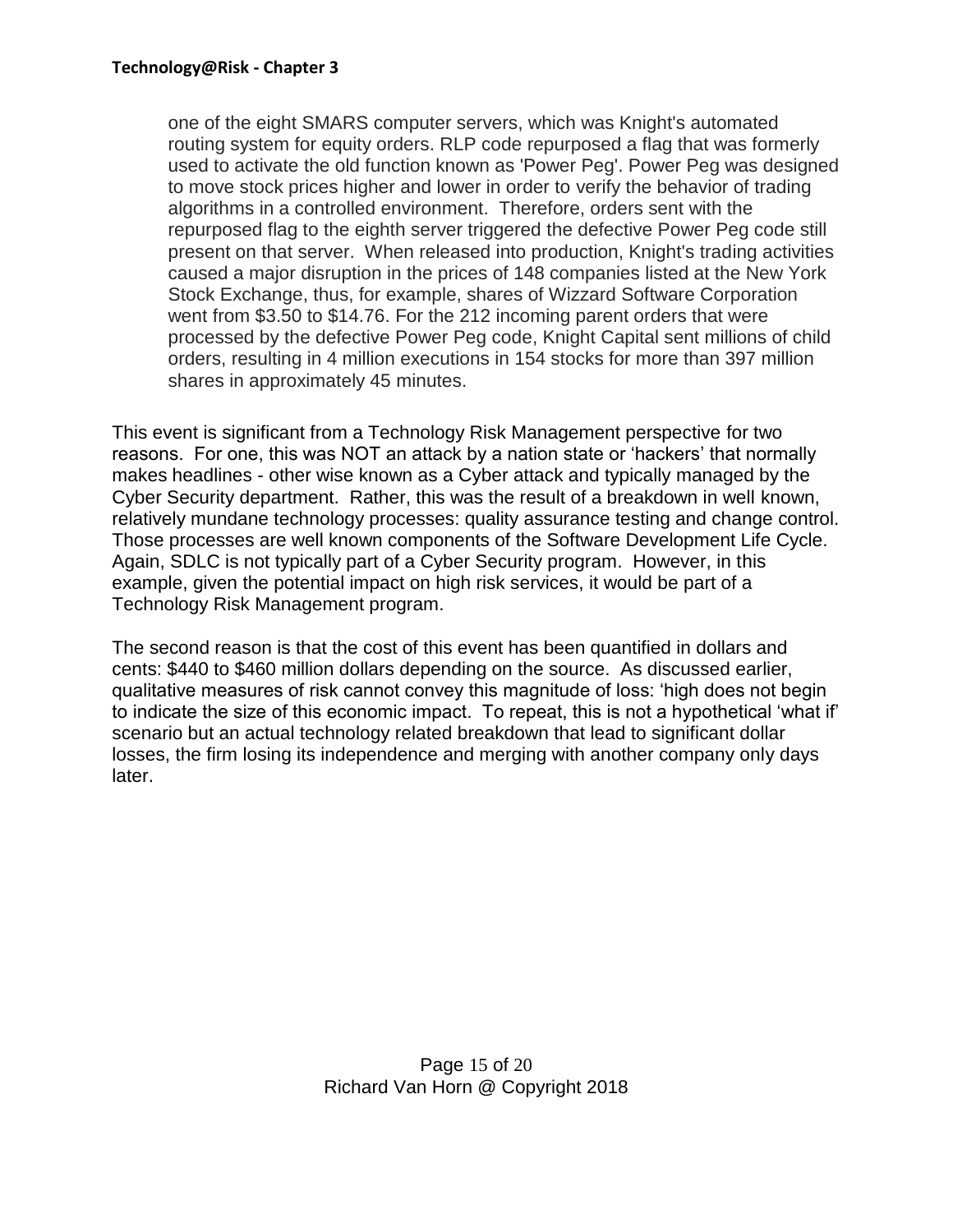one of the eight SMARS computer servers, which was Knight's automated routing system for equity orders. RLP code repurposed a flag that was formerly used to activate the old function known as 'Power Peg'. Power Peg was designed to move stock prices higher and lower in order to verify the behavior of trading algorithms in a controlled environment. Therefore, orders sent with the repurposed flag to the eighth server triggered the defective Power Peg code still present on that server. When released into production, Knight's trading activities caused a major disruption in the prices of 148 companies listed at the New York Stock Exchange, thus, for example, shares of Wizzard Software Corporation went from \$3.50 to \$14.76. For the 212 incoming parent orders that were processed by the defective Power Peg code, Knight Capital sent millions of child orders, resulting in 4 million executions in 154 stocks for more than 397 million shares in approximately 45 minutes.

This event is significant from a Technology Risk Management perspective for two reasons. For one, this was NOT an attack by a nation state or 'hackers' that normally makes headlines - other wise known as a Cyber attack and typically managed by the Cyber Security department. Rather, this was the result of a breakdown in well known, relatively mundane technology processes: quality assurance testing and change control. Those processes are well known components of the Software Development Life Cycle. Again, SDLC is not typically part of a Cyber Security program. However, in this example, given the potential impact on high risk services, it would be part of a Technology Risk Management program.

The second reason is that the cost of this event has been quantified in dollars and cents: \$440 to \$460 million dollars depending on the source. As discussed earlier, qualitative measures of risk cannot convey this magnitude of loss: 'high does not begin to indicate the size of this economic impact. To repeat, this is not a hypothetical 'what if' scenario but an actual technology related breakdown that lead to significant dollar losses, the firm losing its independence and merging with another company only days later.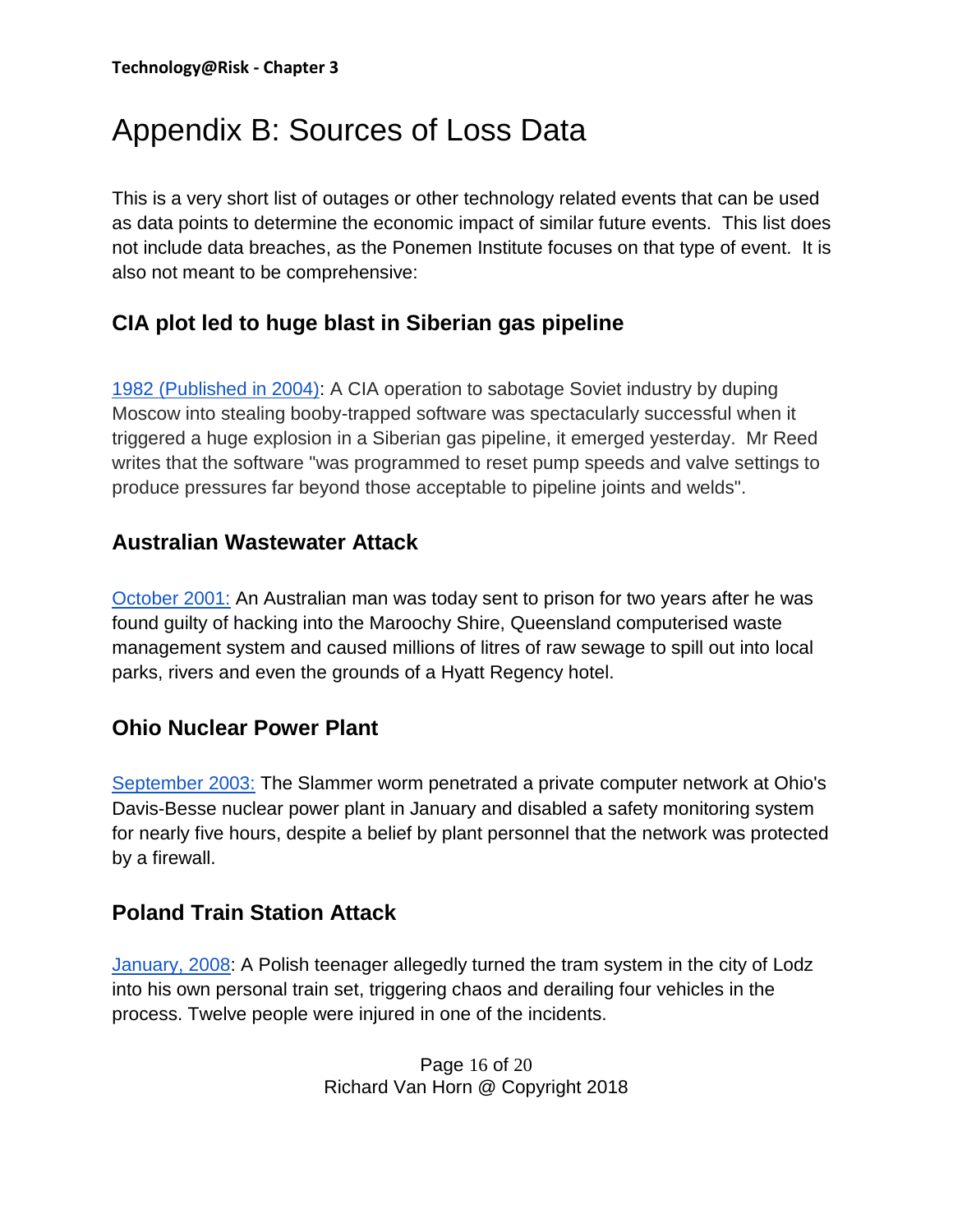# <span id="page-15-0"></span>Appendix B: Sources of Loss Data

This is a very short list of outages or other technology related events that can be used as data points to determine the economic impact of similar future events. This list does not include data breaches, as the Ponemen Institute focuses on that type of event. It is also not meant to be comprehensive:

### **CIA plot led to huge blast in Siberian gas pipeline**

[1982 \(Published in 2004\):](http://www.telegraph.co.uk/news/worldnews/northamerica/usa/1455559/CIA-plot-led-to-huge-blast-in-Siberian-gas-pipeline.html) A CIA operation to sabotage Soviet industry by duping Moscow into stealing booby-trapped software was spectacularly successful when it triggered a huge explosion in a Siberian gas pipeline, it emerged yesterday. Mr Reed writes that the software "was programmed to reset pump speeds and valve settings to produce pressures far beyond those acceptable to pipeline joints and welds".

#### **Australian Wastewater Attack**

[October 2001:](https://www.theregister.co.uk/2001/10/31/hacker_jailed_for_revenge_sewage/) An Australian man was today sent to prison for two years after he was found guilty of hacking into the Maroochy Shire, Queensland computerised waste management system and caused millions of litres of raw sewage to spill out into local parks, rivers and even the grounds of a Hyatt Regency hotel.

#### **Ohio Nuclear Power Plant**

[September 2003:](http://www.securityfocus.com/news/6767) The Slammer worm penetrated a private computer network at Ohio's Davis-Besse nuclear power plant in January and disabled a safety monitoring system for nearly five hours, despite a belief by plant personnel that the network was protected by a firewall.

### **Poland Train Station Attack**

[January, 2008:](https://www.theregister.co.uk/2008/01/11/tram_hack/) A Polish teenager allegedly turned the tram system in the city of Lodz into his own personal train set, triggering chaos and derailing four vehicles in the process. Twelve people were injured in one of the incidents.

> Page 16 of 20 Richard Van Horn @ Copyright 2018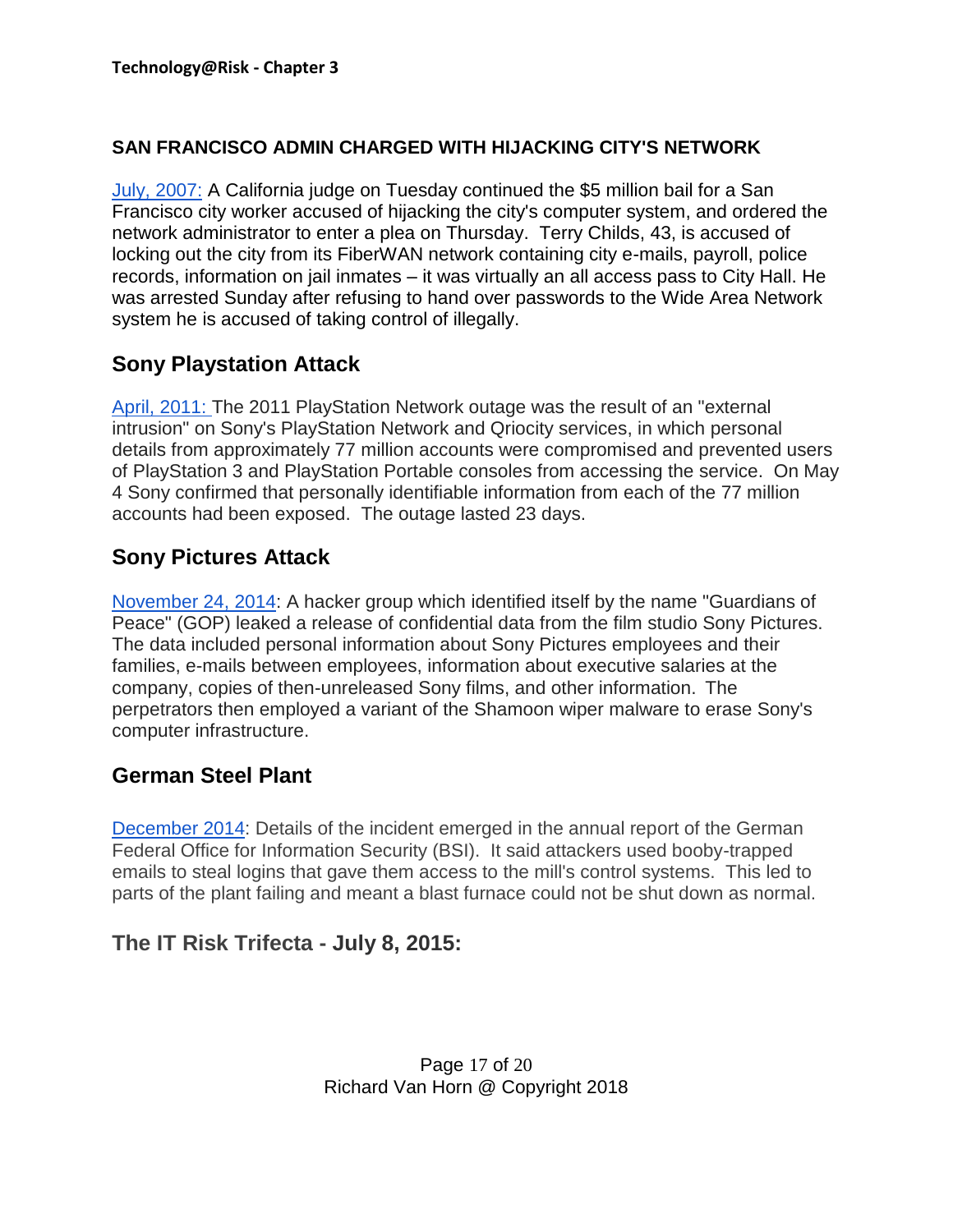#### **SAN FRANCISCO ADMIN CHARGED WITH HIJACKING CITY'S NETWORK**

[July, 2007:](https://www.wired.com/2008/07/sf-city-charged/) A California judge on Tuesday continued the \$5 million bail for a San Francisco city worker accused of hijacking the city's computer system, and ordered the network administrator to enter a plea on Thursday. Terry Childs, 43, is accused of locking out the city from its FiberWAN network containing city e-mails, payroll, police records, information on jail inmates – it was virtually an all access pass to City Hall. He was arrested Sunday after refusing to hand over passwords to the Wide Area Network system he is accused of taking control of illegally.

#### **Sony Playstation Attack**

[April, 2011: T](https://en.wikipedia.org/wiki/2011_PlayStation_Network_outage)he 2011 PlayStation Network outage was the result of an "external intrusion" on Sony's PlayStation Network and Qriocity services, in which personal details from approximately 77 million accounts were compromised and prevented users of PlayStation 3 and PlayStation Portable consoles from accessing the service. On May 4 Sony confirmed that personally identifiable information from each of the 77 million accounts had been exposed. The outage lasted 23 days.

#### **Sony Pictures Attack**

[November 24, 2014:](https://en.wikipedia.org/wiki/Sony_Pictures_hack) A hacker group which identified itself by the name "Guardians of Peace" (GOP) leaked a release of confidential data from the film studio Sony Pictures. The data included personal information about Sony Pictures employees and their families, e-mails between employees, information about executive salaries at the company, copies of then-unreleased Sony films, and other information. The perpetrators then employed a variant of the Shamoon wiper malware to erase Sony's computer infrastructure.

#### **German Steel Plant**

[December 2014:](https://www.wired.com/2015/01/german-steel-mill-hack-destruction/) Details of the incident emerged in the annual report of the German Federal Office for Information Security (BSI). It said attackers used booby-trapped emails to steal logins that gave them access to the mill's control systems. This led to parts of the plant failing and meant a blast furnace could not be shut down as normal.

### **The IT Risk Trifecta - July 8, 2015[:](http://www.reuters.com/article/us-ual-flights-idUSKCN0PI1IX20150708)**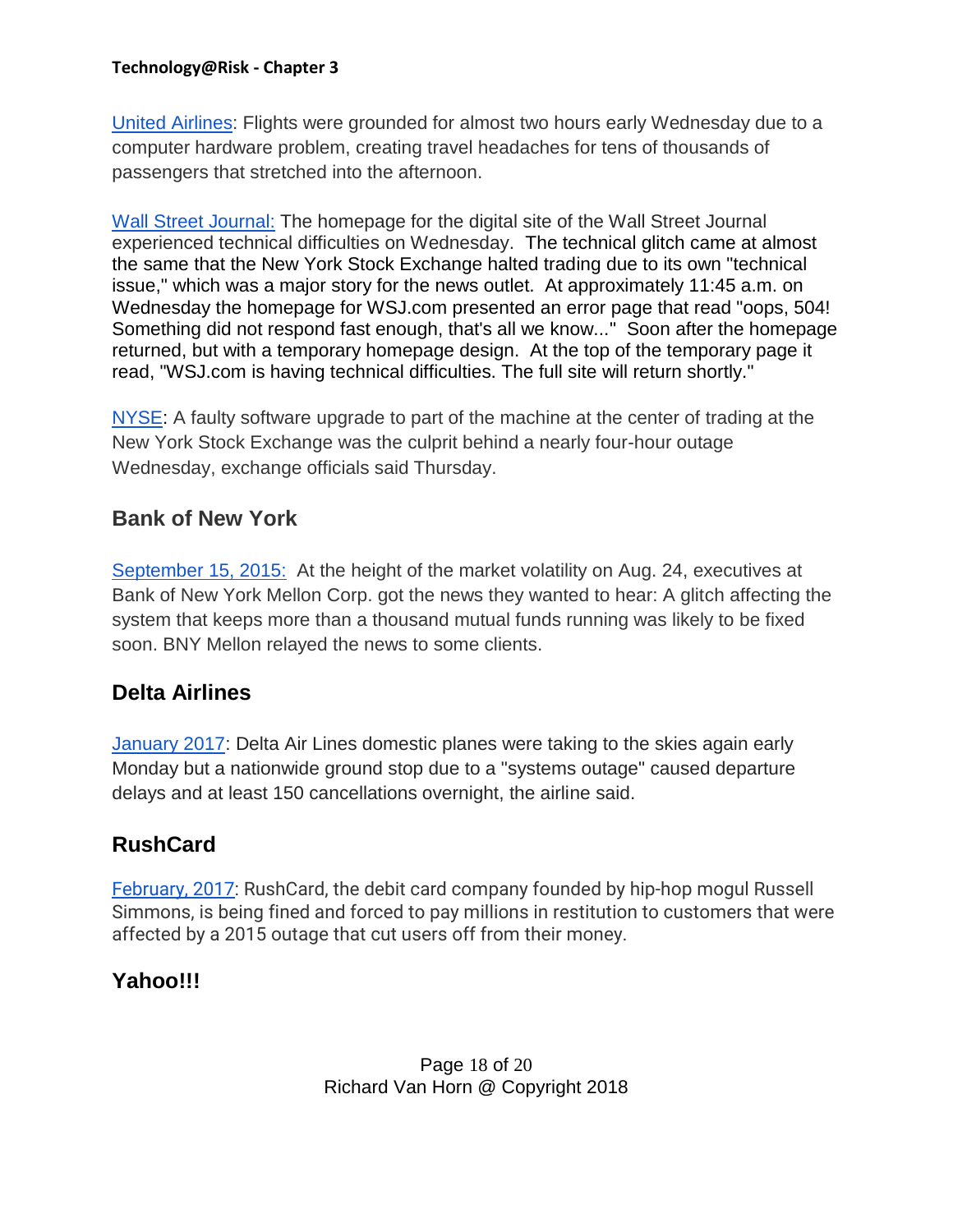[United Airlines:](http://www.reuters.com/article/us-ual-flights-idUSKCN0PI1IX20150708) Flights were grounded for almost two hours early Wednesday due to a computer hardware problem, creating travel headaches for tens of thousands of passengers that stretched into the afternoon.

[Wall Street Journal:](http://money.cnn.com/2015/07/08/media/wall-street-journal-crashes/index.html) The homepage for the digital site of the Wall Street Journal experienced technical difficulties on Wednesday. The technical glitch came at almost the same that the New York Stock Exchange halted trading due to its own "technical issue," which was a major story for the news outlet. At approximately 11:45 a.m. on Wednesday the homepage for WSJ.com presented an error page that read "oops, 504! Something did not respond fast enough, that's all we know..." Soon after the homepage returned, but with a temporary homepage design. At the top of the temporary page it read, "WSJ.com is having technical difficulties. The full site will return shortly."

[NYSE:](https://www.wsj.com/articles/stocks-trade-on-nyse-at-open-1436450975) A faulty software upgrade to part of the machine at the center of trading at the New York Stock Exchange was the culprit behind a nearly four-hour outage Wednesday, exchange officials said Thursday.

#### **Bank of New York**

[September 15, 2015:](https://www.wsj.com/articles/all-night-push-after-glitch-hit-bny-mellon-1441322064) At the height of the market volatility on Aug. 24, executives at Bank of New York Mellon Corp. got the news they wanted to hear: A glitch affecting the system that keeps more than a thousand mutual funds running was likely to be fixed soon. BNY Mellon relayed the news to some clients.

#### **Delta Airlines**

[January 2017:](http://www.nbcnews.com/news/us-news/delta-air-lines-grounds-domestic-fleet-after-systems-outage-n713956) Delta Air Lines domestic planes were taking to the skies again early Monday but a nationwide ground stop due to a "systems outage" caused departure delays and at least 150 cancellations overnight, the airline said.

### **RushCard**

[February, 2017:](https://www.usnews.com/news/business/articles/2017-02-01/russell-simmons-rushcard-fined-13-million-for-2015-outage) RushCard, the debit card company founded by hip-hop mogul Russell Simmons, is being fined and forced to pay millions in restitution to customers that were affected by a 2015 outage that cut users off from their money.

### **Yahoo!!!**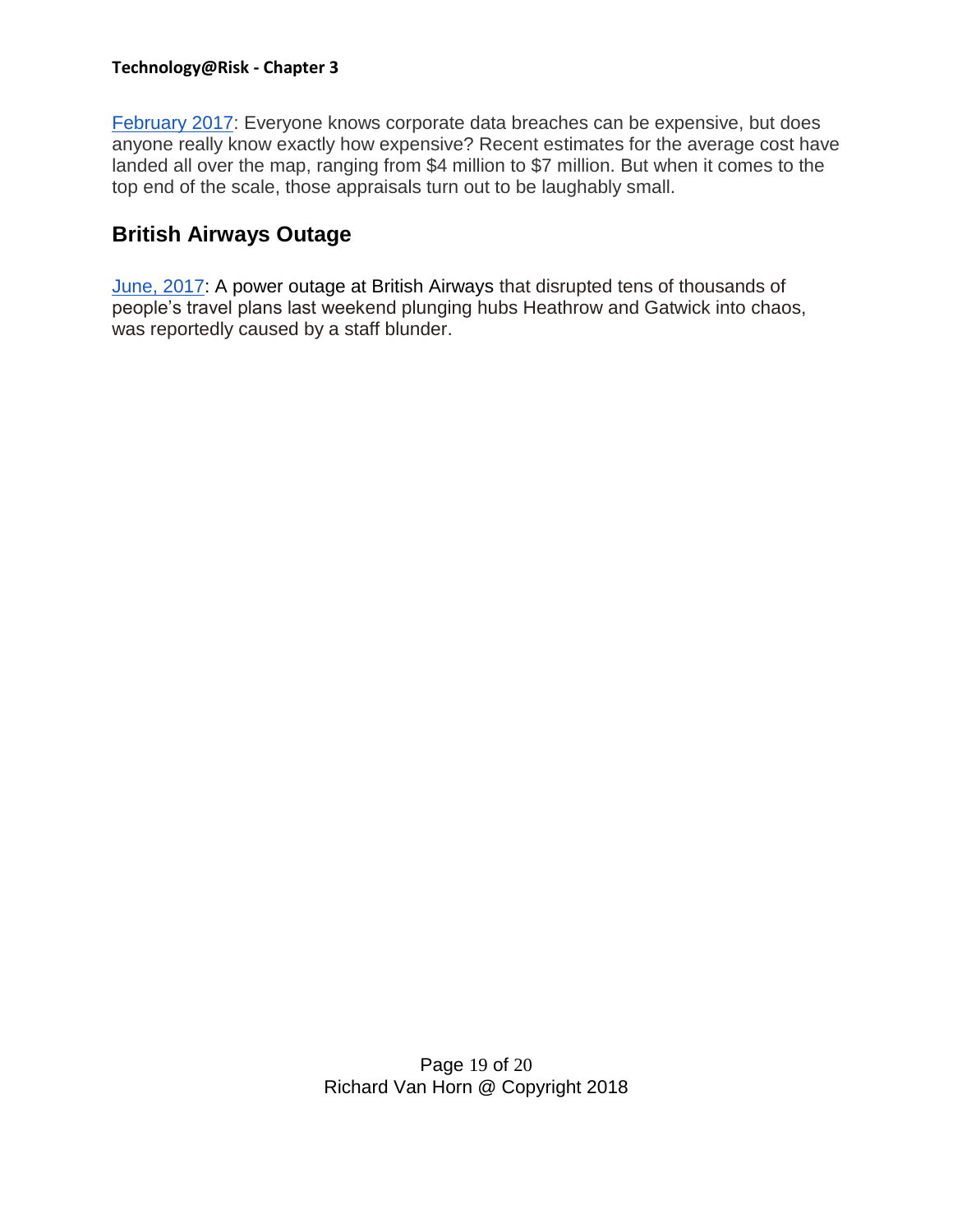[February 2017:](https://www.networkworld.com/article/3172402/security/we-finally-know-how-much-a-data-breach-can-cost.html) Everyone knows corporate data breaches can be expensive, but does anyone really know exactly how expensive? Recent estimates for the average cost have landed all over the map, ranging from \$4 million to \$7 million. But when it comes to the top end of the scale, those appraisals turn out to be laughably small.

#### **British Airways Outage**

[June, 2017:](http://www.independent.co.uk/news/business/news/british-airways-system-outage-it-worker-power-supply-switch-off-accident-flights-delayed-cancelled-a7768581.html) A power outage at British Airways that disrupted tens of thousands of people's travel plans last weekend plunging hubs Heathrow and Gatwick into chaos, was reportedly caused by a staff blunder.